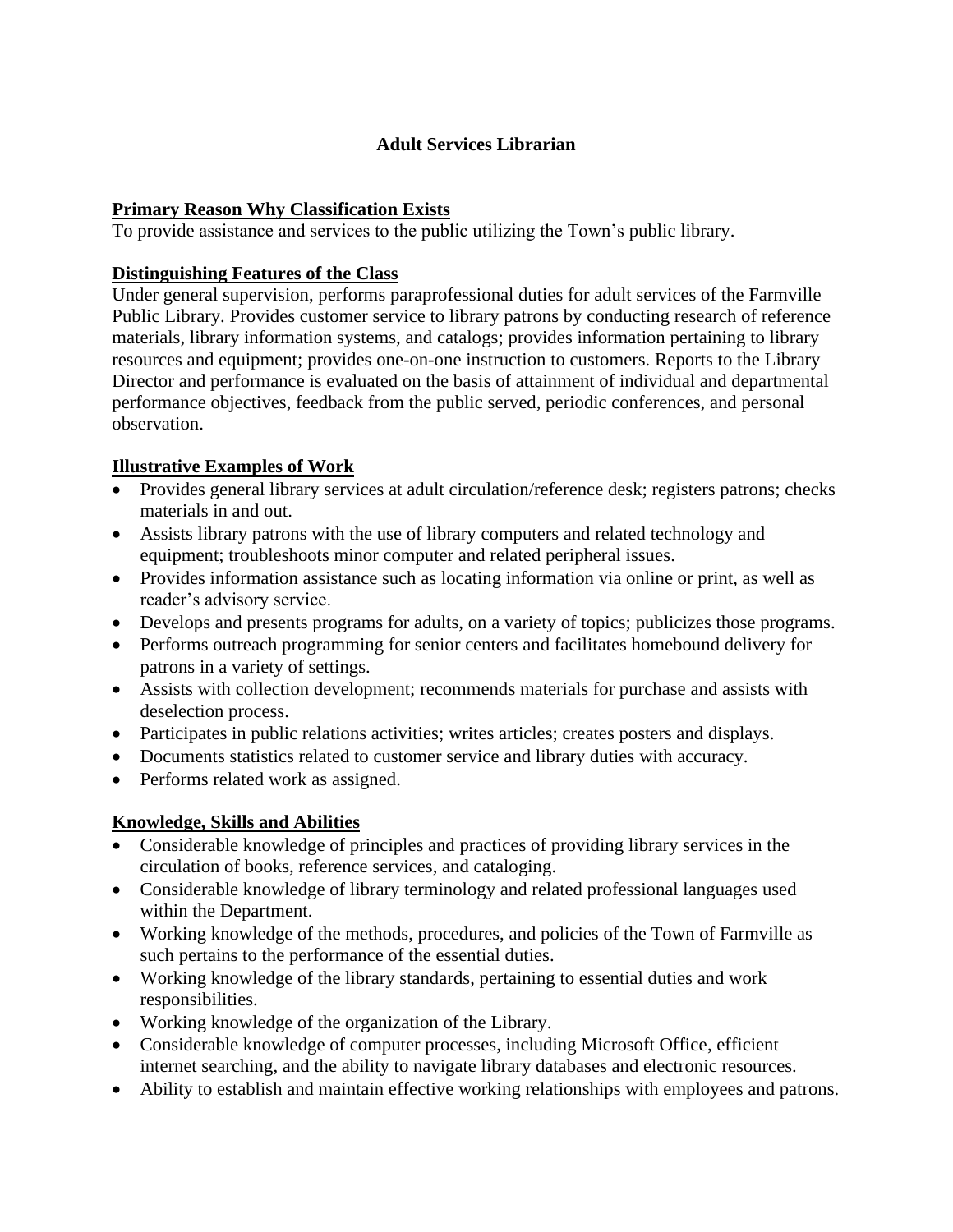# **Adult Services Librarian**

## **Primary Reason Why Classification Exists**

To provide assistance and services to the public utilizing the Town's public library.

## **Distinguishing Features of the Class**

Under general supervision, performs paraprofessional duties for adult services of the Farmville Public Library. Provides customer service to library patrons by conducting research of reference materials, library information systems, and catalogs; provides information pertaining to library resources and equipment; provides one-on-one instruction to customers. Reports to the Library Director and performance is evaluated on the basis of attainment of individual and departmental performance objectives, feedback from the public served, periodic conferences, and personal observation.

# **Illustrative Examples of Work**

- Provides general library services at adult circulation/reference desk; registers patrons; checks materials in and out.
- Assists library patrons with the use of library computers and related technology and equipment; troubleshoots minor computer and related peripheral issues.
- Provides information assistance such as locating information via online or print, as well as reader's advisory service.
- Develops and presents programs for adults, on a variety of topics; publicizes those programs.
- Performs outreach programming for senior centers and facilitates homebound delivery for patrons in a variety of settings.
- Assists with collection development; recommends materials for purchase and assists with deselection process.
- Participates in public relations activities; writes articles; creates posters and displays.
- Documents statistics related to customer service and library duties with accuracy.
- Performs related work as assigned.

# **Knowledge, Skills and Abilities**

- Considerable knowledge of principles and practices of providing library services in the circulation of books, reference services, and cataloging.
- Considerable knowledge of library terminology and related professional languages used within the Department.
- Working knowledge of the methods, procedures, and policies of the Town of Farmville as such pertains to the performance of the essential duties.
- Working knowledge of the library standards, pertaining to essential duties and work responsibilities.
- Working knowledge of the organization of the Library.
- Considerable knowledge of computer processes, including Microsoft Office, efficient internet searching, and the ability to navigate library databases and electronic resources.
- Ability to establish and maintain effective working relationships with employees and patrons.